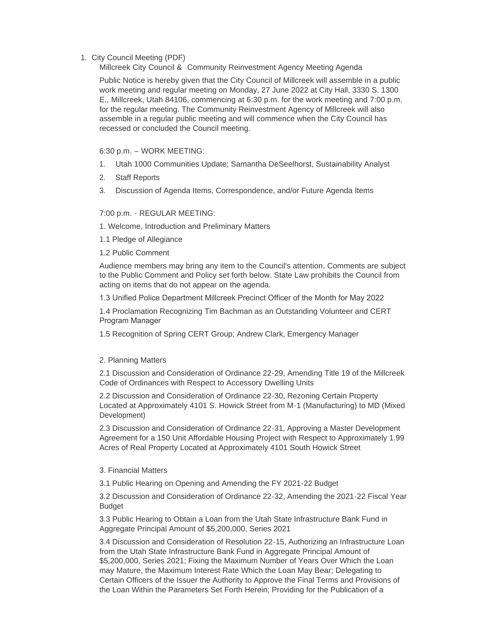# 1. City Council Meeting (PDF)

Millcreek City Council & Community Reinvestment Agency Meeting Agenda

Public Notice is hereby given that the City Council of Millcreek will assemble in a public work meeting and regular meeting on Monday, 27 June 2022 at City Hall, 3330 S. 1300 E., Millcreek, Utah 84106, commencing at 6:30 p.m. for the work meeting and 7:00 p.m. for the regular meeting. The Community Reinvestment Agency of Millcreek will also assemble in a regular public meeting and will commence when the City Council has recessed or concluded the Council meeting.

6:30 p.m. – WORK MEETING:

- 1. Utah 1000 Communities Update; Samantha DeSeelhorst, Sustainability Analyst
- 2. Staff Reports
- 3. Discussion of Agenda Items, Correspondence, and/or Future Agenda Items

### 7:00 p.m. - REGULAR MEETING:

- 1. Welcome, Introduction and Preliminary Matters
- 1.1 Pledge of Allegiance
- 1.2 Public Comment

Audience members may bring any item to the Council's attention. Comments are subject to the Public Comment and Policy set forth below. State Law prohibits the Council from acting on items that do not appear on the agenda.

1.3 Unified Police Department Millcreek Precinct Officer of the Month for May 2022

1.4 Proclamation Recognizing Tim Bachman as an Outstanding Volunteer and CERT Program Manager

1.5 Recognition of Spring CERT Group; Andrew Clark, Emergency Manager

#### 2. Planning Matters

2.1 Discussion and Consideration of Ordinance 22-29, Amending Title 19 of the Millcreek Code of Ordinances with Respect to Accessory Dwelling Units

2.2 Discussion and Consideration of Ordinance 22-30, Rezoning Certain Property Located at Approximately 4101 S. Howick Street from M-1 (Manufacturing) to MD (Mixed Development)

2.3 Discussion and Consideration of Ordinance 22-31, Approving a Master Development Agreement for a 150 Unit Affordable Housing Project with Respect to Approximately 1.99 Acres of Real Property Located at Approximately 4101 South Howick Street

#### 3. Financial Matters

3.1 Public Hearing on Opening and Amending the FY 2021-22 Budget

3.2 Discussion and Consideration of Ordinance 22-32, Amending the 2021-22 Fiscal Year Budget

3.3 Public Hearing to Obtain a Loan from the Utah State Infrastructure Bank Fund in Aggregate Principal Amount of \$5,200,000, Series 2021

3.4 Discussion and Consideration of Resolution 22-15, Authorizing an Infrastructure Loan from the Utah State Infrastructure Bank Fund in Aggregate Principal Amount of \$5,200,000, Series 2021; Fixing the Maximum Number of Years Over Which the Loan may Mature, the Maximum Interest Rate Which the Loan May Bear; Delegating to Certain Officers of the Issuer the Authority to Approve the Final Terms and Provisions of the Loan Within the Parameters Set Forth Herein; Providing for the Publication of a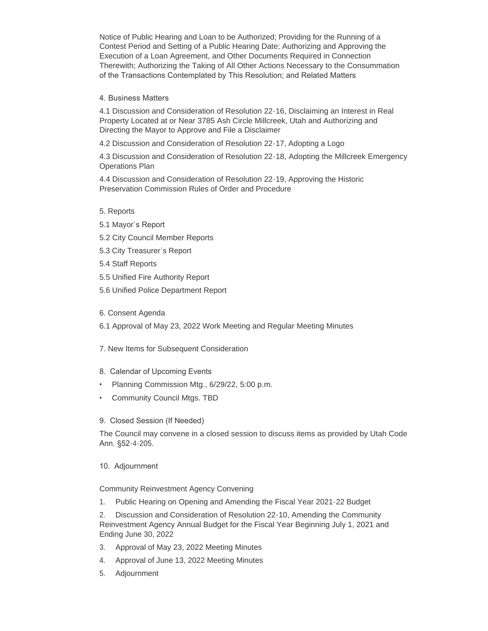Notice of Public Hearing and Loan to be Authorized; Providing for the Running of a Contest Period and Setting of a Public Hearing Date; Authorizing and Approving the Execution of a Loan Agreement, and Other Documents Required in Connection Therewith; Authorizing the Taking of All Other Actions Necessary to the Consummation of the Transactions Contemplated by This Resolution; and Related Matters

## 4. Business Matters

4.1 Discussion and Consideration of Resolution 22-16, Disclaiming an Interest in Real Property Located at or Near 3785 Ash Circle Millcreek, Utah and Authorizing and Directing the Mayor to Approve and File a Disclaimer

4.2 Discussion and Consideration of Resolution 22-17, Adopting a Logo

4.3 Discussion and Consideration of Resolution 22-18, Adopting the Millcreek Emergency Operations Plan

4.4 Discussion and Consideration of Resolution 22-19, Approving the Historic Preservation Commission Rules of Order and Procedure

- 5. Reports
- 5.1 Mayor's Report
- 5.2 City Council Member Reports
- 5.3 City Treasurer's Report
- 5.4 Staff Reports
- 5.5 Unified Fire Authority Report
- 5.6 Unified Police Department Report
- 6. Consent Agenda

6.1 Approval of May 23, 2022 Work Meeting and Regular Meeting Minutes

- 7. New Items for Subsequent Consideration
- 8. Calendar of Upcoming Events
- Planning Commission Mtg., 6/29/22, 5:00 p.m.
- Community Council Mtgs. TBD
- 9. Closed Session (If Needed)

The Council may convene in a closed session to discuss items as provided by Utah Code Ann. §52-4-205.

10. Adjournment

Community Reinvestment Agency Convening

1. Public Hearing on Opening and Amending the Fiscal Year 2021-22 Budget

2. Discussion and Consideration of Resolution 22-10, Amending the Community Reinvestment Agency Annual Budget for the Fiscal Year Beginning July 1, 2021 and Ending June 30, 2022

- 3. Approval of May 23, 2022 Meeting Minutes
- 4. Approval of June 13, 2022 Meeting Minutes
- 5. Adjournment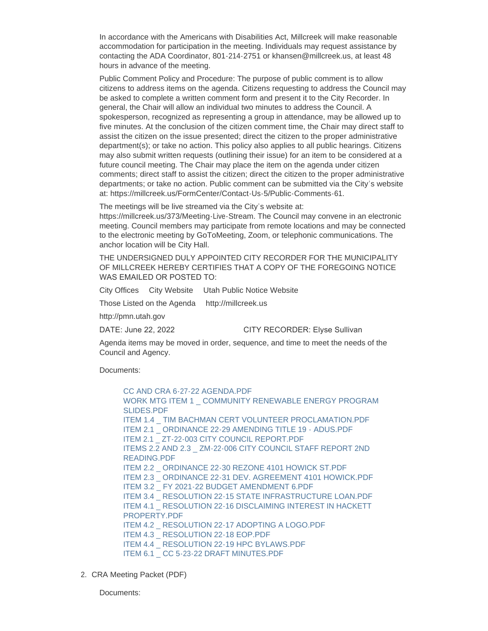In accordance with the Americans with Disabilities Act, Millcreek will make reasonable accommodation for participation in the meeting. Individuals may request assistance by contacting the ADA Coordinator, 801-214-2751 or khansen@millcreek.us, at least 48 hours in advance of the meeting.

Public Comment Policy and Procedure: The purpose of public comment is to allow citizens to address items on the agenda. Citizens requesting to address the Council may be asked to complete a written comment form and present it to the City Recorder. In general, the Chair will allow an individual two minutes to address the Council. A spokesperson, recognized as representing a group in attendance, may be allowed up to five minutes. At the conclusion of the citizen comment time, the Chair may direct staff to assist the citizen on the issue presented; direct the citizen to the proper administrative department(s); or take no action. This policy also applies to all public hearings. Citizens may also submit written requests (outlining their issue) for an item to be considered at a future council meeting. The Chair may place the item on the agenda under citizen comments; direct staff to assist the citizen; direct the citizen to the proper administrative departments; or take no action. Public comment can be submitted via the City's website at: https://millcreek.us/FormCenter/Contact-Us-5/Public-Comments-61.

The meetings will be live streamed via the City's website at:

https://millcreek.us/373/Meeting-Live-Stream. The Council may convene in an electronic meeting. Council members may participate from remote locations and may be connected to the electronic meeting by GoToMeeting, Zoom, or telephonic communications. The anchor location will be City Hall.

THE UNDERSIGNED DULY APPOINTED CITY RECORDER FOR THE MUNICIPALITY OF MILLCREEK HEREBY CERTIFIES THAT A COPY OF THE FOREGOING NOTICE WAS EMAILED OR POSTED TO:

City Offices City Website Utah Public Notice Website

Those Listed on the Agenda http://millcreek.us

http://pmn.utah.gov

DATE: June 22, 2022 CITY RECORDER: Elyse Sullivan

Agenda items may be moved in order, sequence, and time to meet the needs of the Council and Agency.

Documents:

[CC AND CRA 6-27-22 AGENDA.PDF](https://millcreek.us/AgendaCenter/ViewFile/Item/421?fileID=18484) WORK MTG ITEM 1 COMMUNITY RENEWABLE ENERGY PROGRAM SLIDES.PDF [ITEM 1.4 \\_ TIM BACHMAN CERT VOLUNTEER PROCLAMATION.PDF](https://millcreek.us/AgendaCenter/ViewFile/Item/421?fileID=18471) [ITEM 2.1 \\_ ORDINANCE 22-29 AMENDING TITLE 19 - ADUS.PDF](https://millcreek.us/AgendaCenter/ViewFile/Item/421?fileID=18472) [ITEM 2.1 \\_ ZT-22-003 CITY COUNCIL REPORT.PDF](https://millcreek.us/AgendaCenter/ViewFile/Item/421?fileID=18483) [ITEMS 2.2 AND 2.3 \\_ ZM-22-006 CITY COUNCIL STAFF REPORT 2ND](https://millcreek.us/AgendaCenter/ViewFile/Item/421?fileID=18481)  READING.PDF [ITEM 2.2 \\_ ORDINANCE 22-30 REZONE 4101 HOWICK ST.PDF](https://millcreek.us/AgendaCenter/ViewFile/Item/421?fileID=18473) [ITEM 2.3 \\_ ORDINANCE 22-31 DEV. AGREEMENT 4101 HOWICK.PDF](https://millcreek.us/AgendaCenter/ViewFile/Item/421?fileID=18474) [ITEM 3.2 \\_ FY 2021-22 BUDGET AMENDMENT 6.PDF](https://millcreek.us/AgendaCenter/ViewFile/Item/421?fileID=18475) [ITEM 3.4 \\_ RESOLUTION 22-15 STATE INFRASTRUCTURE LOAN.PDF](https://millcreek.us/AgendaCenter/ViewFile/Item/421?fileID=18476) ITEM 4.1 RESOLUTION 22-16 DISCLAIMING INTEREST IN HACKETT PROPERTY.PDF [ITEM 4.2 \\_ RESOLUTION 22-17 ADOPTING A LOGO.PDF](https://millcreek.us/AgendaCenter/ViewFile/Item/421?fileID=18478) ITEM 4.3 RESOLUTION 22-18 EOP.PDF [ITEM 4.4 \\_ RESOLUTION 22-19 HPC BYLAWS.PDF](https://millcreek.us/AgendaCenter/ViewFile/Item/421?fileID=18488) [ITEM 6.1 \\_ CC 5-23-22 DRAFT MINUTES.PDF](https://millcreek.us/AgendaCenter/ViewFile/Item/421?fileID=18480)

2. CRA Meeting Packet (PDF)

Documents: